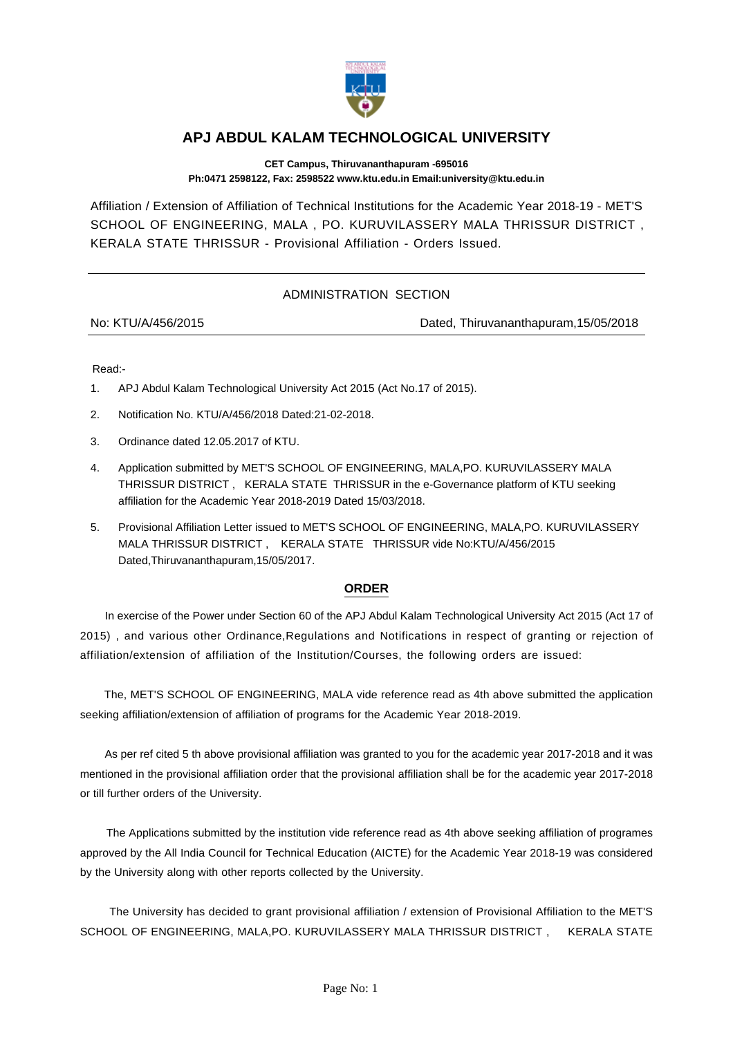

## **APJ ABDUL KALAM TECHNOLOGICAL UNIVERSITY**

**CET Campus, Thiruvananthapuram -695016 Ph:0471 2598122, Fax: 2598522 www.ktu.edu.in Email:university@ktu.edu.in**

Affiliation / Extension of Affiliation of Technical Institutions for the Academic Year 2018-19 - MET'S SCHOOL OF ENGINEERING, MALA , PO. KURUVILASSERY MALA THRISSUR DISTRICT , KERALA STATE THRISSUR - Provisional Affiliation - Orders Issued.

## ADMINISTRATION SECTION

No: KTU/A/456/2015 Dated, Thiruvananthapuram,15/05/2018

Read:-

- 1. APJ Abdul Kalam Technological University Act 2015 (Act No.17 of 2015).
- 2. Notification No. KTU/A/456/2018 Dated:21-02-2018.
- 3. Ordinance dated 12.05.2017 of KTU.
- 4. Application submitted by MET'S SCHOOL OF ENGINEERING, MALA,PO. KURUVILASSERY MALA THRISSUR DISTRICT , KERALA STATE THRISSUR in the e-Governance platform of KTU seeking affiliation for the Academic Year 2018-2019 Dated 15/03/2018.
- 5. Provisional Affiliation Letter issued to MET'S SCHOOL OF ENGINEERING, MALA,PO. KURUVILASSERY MALA THRISSUR DISTRICT , KERALA STATE THRISSUR vide No:KTU/A/456/2015 Dated,Thiruvananthapuram,15/05/2017.

## **ORDER**

 In exercise of the Power under Section 60 of the APJ Abdul Kalam Technological University Act 2015 (Act 17 of 2015) , and various other Ordinance,Regulations and Notifications in respect of granting or rejection of affiliation/extension of affiliation of the Institution/Courses, the following orders are issued:

 The, MET'S SCHOOL OF ENGINEERING, MALA vide reference read as 4th above submitted the application seeking affiliation/extension of affiliation of programs for the Academic Year 2018-2019.

 As per ref cited 5 th above provisional affiliation was granted to you for the academic year 2017-2018 and it was mentioned in the provisional affiliation order that the provisional affiliation shall be for the academic year 2017-2018 or till further orders of the University.

 The Applications submitted by the institution vide reference read as 4th above seeking affiliation of programes approved by the All India Council for Technical Education (AICTE) for the Academic Year 2018-19 was considered by the University along with other reports collected by the University.

 The University has decided to grant provisional affiliation / extension of Provisional Affiliation to the MET'S SCHOOL OF ENGINEERING, MALA,PO. KURUVILASSERY MALA THRISSUR DISTRICT , KERALA STATE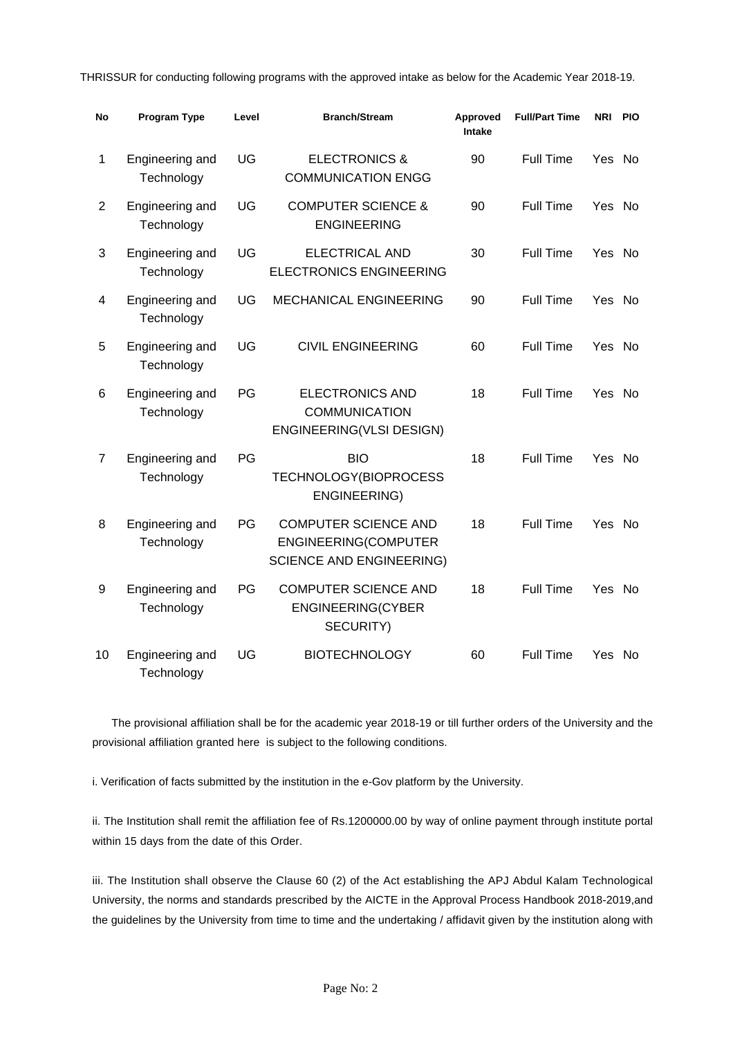THRISSUR for conducting following programs with the approved intake as below for the Academic Year 2018-19.

| No             | Program Type                  | Level | <b>Branch/Stream</b>                                                                   | Approved<br><b>Intake</b> | <b>Full/Part Time</b> | <b>NRI</b> | <b>PIO</b> |
|----------------|-------------------------------|-------|----------------------------------------------------------------------------------------|---------------------------|-----------------------|------------|------------|
| 1              | Engineering and<br>Technology | UG    | <b>ELECTRONICS &amp;</b><br><b>COMMUNICATION ENGG</b>                                  | 90                        | Full Time             | Yes        | No.        |
| $\overline{2}$ | Engineering and<br>Technology | UG    | <b>COMPUTER SCIENCE &amp;</b><br><b>ENGINEERING</b>                                    | 90                        | <b>Full Time</b>      | Yes No     |            |
| 3              | Engineering and<br>Technology | UG    | <b>ELECTRICAL AND</b><br><b>ELECTRONICS ENGINEERING</b>                                | 30                        | <b>Full Time</b>      | Yes No     |            |
| 4              | Engineering and<br>Technology | UG    | <b>MECHANICAL ENGINEERING</b>                                                          | 90                        | <b>Full Time</b>      | Yes No     |            |
| 5              | Engineering and<br>Technology | UG    | <b>CIVIL ENGINEERING</b>                                                               | 60                        | <b>Full Time</b>      | Yes No     |            |
| 6              | Engineering and<br>Technology | PG    | <b>ELECTRONICS AND</b><br><b>COMMUNICATION</b><br>ENGINEERING(VLSI DESIGN)             | 18                        | <b>Full Time</b>      | Yes No     |            |
| 7              | Engineering and<br>Technology | PG    | <b>BIO</b><br>TECHNOLOGY(BIOPROCESS<br>ENGINEERING)                                    | 18                        | Full Time             | Yes No     |            |
| 8              | Engineering and<br>Technology | PG    | <b>COMPUTER SCIENCE AND</b><br>ENGINEERING(COMPUTER<br><b>SCIENCE AND ENGINEERING)</b> | 18                        | Full Time             | Yes No     |            |
| 9              | Engineering and<br>Technology | PG    | <b>COMPUTER SCIENCE AND</b><br>ENGINEERING(CYBER<br>SECURITY)                          | 18                        | Full Time             | Yes No     |            |
| 10             | Engineering and<br>Technology | UG    | <b>BIOTECHNOLOGY</b>                                                                   | 60                        | Full Time             | Yes No     |            |

 The provisional affiliation shall be for the academic year 2018-19 or till further orders of the University and the provisional affiliation granted here is subject to the following conditions.

i. Verification of facts submitted by the institution in the e-Gov platform by the University.

ii. The Institution shall remit the affiliation fee of Rs.1200000.00 by way of online payment through institute portal within 15 days from the date of this Order.

iii. The Institution shall observe the Clause 60 (2) of the Act establishing the APJ Abdul Kalam Technological University, the norms and standards prescribed by the AICTE in the Approval Process Handbook 2018-2019,and the guidelines by the University from time to time and the undertaking / affidavit given by the institution along with